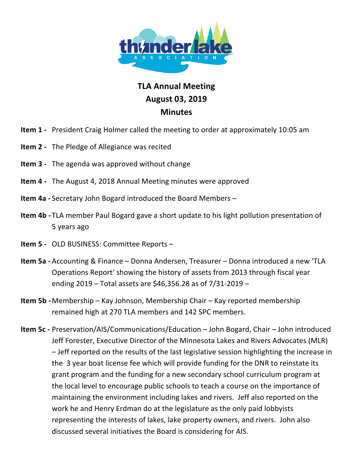

## **TLA!Annual Meeting August 03,!2019 Minutes**

- **Item 1** President Craig Holmer called the meeting to order at approximately 10:05 am
- **Item 2** The Pledge of Allegiance was recited
- **Item 3** The agenda was approved without change
- **Item 4** The August 4, 2018 Annual Meeting minutes were approved
- **Item 4a** Secretary John Bogard introduced the Board Members –
- **Item 4b** TLA member Paul Bogard gave a short update to his light pollution presentation of 5 years ago
- **Item 5 OLD BUSINESS: Committee Reports**
- **Item 5a -** Accounting & Finance Donna Andersen, Treasurer Donna introduced a new 'TLA Operations Report' showing the history of assets from 2013 through fiscal year ending 2019 – Total assets are \$46,356.28 as of  $7/31$ -2019 –
- **Item 5b -** Membership Kay Johnson, Membership Chair Kay reported membership remained high at 270 TLA members and 142 SPC members.
- **Item 5c** Preservation/AIS/Communications/Education John Bogard, Chair John introduced Jeff Forester, Executive Director of the Minnesota Lakes and Rivers Advocates (MLR) – Jeff reported on the results of the last legislative session highlighting the increase in the) 3 year boat license fee which will provide funding for the DNR to reinstate its grant program and the funding for a new secondary school curriculum program at the local level to encourage public schools to teach a course on the importance of maintaining the environment including lakes and rivers. Jeff also reported on the work he and Henry Erdman do at the legislature as the only paid lobbyists representing the interests of lakes, lake property owners, and rivers. John also discussed several initiatives the Board is considering for AIS.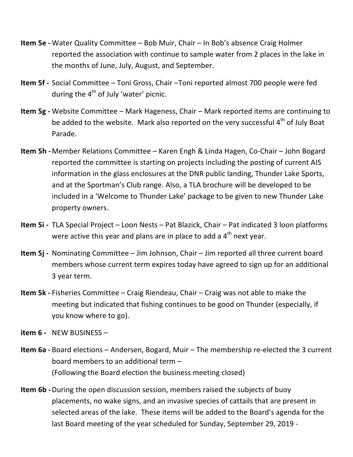- **Item 5e Water Quality Committee Bob Muir, Chair In Bob's absence Craig Holmer** reported the association with continue to sample water from 2 places in the lake in the months of June, July, August, and September.
- **Item 5f** Social Committee Toni Gross, Chair –Toni reported almost 700 people were fed during the  $4<sup>th</sup>$  of July 'water' picnic.
- **Item 5g -** Website Committee Mark Hageness, Chair Mark reported items are continuing to be added to the website. Mark also reported on the very successful  $4<sup>th</sup>$  of July Boat Parade.
- **Item 5h** Member Relations Committee Karen Engh & Linda Hagen, Co-Chair John Bogard reported the committee is starting on projects including the posting of current AIS information in the glass enclosures at the DNR public landing, Thunder Lake Sports, and at the Sportman's Club range. Also, a TLA brochure will be developed to be included in a 'Welcome to Thunder Lake' package to be given to new Thunder Lake property owners.
- **Item 5i** TLA Special Project Loon Nests Pat Blazick, Chair Pat indicated 3 loon platforms were active this year and plans are in place to add a  $4<sup>th</sup>$  next year.
- **Item 5j -** Nominating Committee Jim Johnson, Chair Jim reported all three current board members whose current term expires today have agreed to sign up for an additional 3 year term.
- **Item 5k** Fisheries Committee Craig Riendeau, Chair Craig was not able to make the meeting but indicated that fishing continues to be good on Thunder (especially, if you know where to go).
- **item 6** NEW BUSINESS –
- **Item 6a** Board elections Andersen, Bogard, Muir The membership re-elected the 3 current board members to an additional term  $-$ (Following the Board election the business meeting closed)
- **Item 6b** During the open discussion session, members raised the subjects of buoy placements, no wake signs, and an invasive species of cattails that are present in selected areas of the lake. These items will be added to the Board's agenda for the last Board meeting of the year scheduled for Sunday, September 29, 2019 -